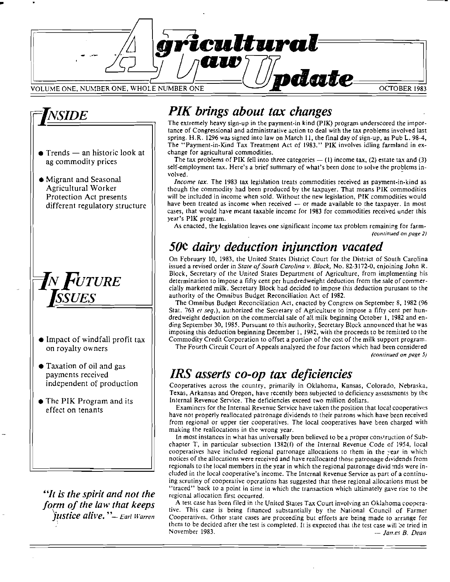



- $\bullet$  Trends an historic look at ag commodity prices
- Migrant and Seasonal Agricultural Worker Protection Act presents different regulatory structure



- $\bullet$  Impact of windfall profit tax on royalty owners
- Taxation of oil and gas payments received independent of production
- The PIK Program and its effect on tenants

"It is the spirit and not the form of the law that keeps justice alive." - Earl Warren

## PIK brings about tax changes

The extremely heavy sign-up in the payment-in kind (PIK) program underscored the importance of Congressional and administrative action to deal with the tax problems involved last spring. H.R. 1296 was signed into law on March 11, the final day of sign-up, as Pub L. 98-4, The "Payment-in-Kind Tax Treatment Act of 1983." PIK involves idling farmland in exchange for agricultural commodities.

The tax problems of PIK fell into three categories  $-$  (1) income tax, (2) estate tax and (3) self-employment tax. Here's a brief summary of what's been done to solve the problems involved.

*Income tax.* The 1983 tax legislation treats commodities received as payment-in-kind as though the commodity had been produced by the taxpayer. That means PIK commodities will be included in income when sold. Without the new legislation, PIK commodities would have been treated as income when received - or made available to the taxpayer. In most cases, that would have meant taxable income for 1983 for commodities received under this year's PIK program.

As enacted, the legislation leaves one significant income tax problem remaining for farm-(continued on page 2)

# 50° dairy deduction injunction vacated

On February 10, 1983, the United States District Court for the District of South Carolina issued a revised order in State of South Carolina v. Block, No. 82-3172-0, enjoining John R. Block, Secretary of the United States Department of Agriculture, from implementing his determination to impose a fifty cent per hundredweight deduction from the sale of commercially marketed milk. Secretary Block had decided to impose this deduction purusant to the authority of the Omnibus Budget Reconciliation Act of 1982.

The Omnibus Budget Reconciliation Act, enacted by Congress on September 8, 1982 (96) Stat. 763 et seq.), authorized the Secretary of Agriculture to impose a fifty cent per hundredweight deduction on the commercial sale of all milk beginning October 1, 1982 and ending September 30, 1985. Pursuant to this authority, Secretary Block announced that he was imposing this deduction beginning December 1, 1982, with the proceeds to be remitted to the Commodity Credit Corporation to offset a portion of the cost of the milk support program.

The Fourth Circuit Court of Appeals analyzed the four factors which had been considered (continued on page 5)

## IRS asserts co-op tax deficiencies

Cooperatives across the country, primarily in Oklahoma, Kansas, Colorado, Nebraska, Texas, Arkansas and Oregon, have recently been subjected to deficiency assessments by the Internal Revenue Service. The deficiencies exceed two million dollars.

Examiners for the Internal Revenue Service have taken the position that local cooperatives have not properly reallocated patronage dividends to their patrons which have been received from regional or upper tier cooperatives. The local cooperatives have been charged with making the reallocations in the wrong year.

In most instances in what has universally been believed to be a proper construction of Subchapter T, in particular subsection 1382(f) of the Internal Revenue Code of 1954, local cooperatives have included regional patronage allocations to them in the year in which notices of the allocations were received and have reallocated those patronage dividends from regionals to the local members in the year in which the regional patronage dividends were included in the local cooperative's income. The Internal Revenue Service as part of a continuing scrutiny of cooperative operations has suggested that these regional allocations must be "traced" back to a point in time in which the transaction which ultimately gave rise to the regional allocation first occurred.

A test case has been filed in the United States Tax Court involving an Oklahoma cooperative. This case is being financed substantially by the National Council of Farmer Cooperatives. Other state cases are proceeding but efforts are being made to arrange for them to be decided after the test is completed. It is expected that the test case will be tried in November 1983. -- Jan.es B. Dean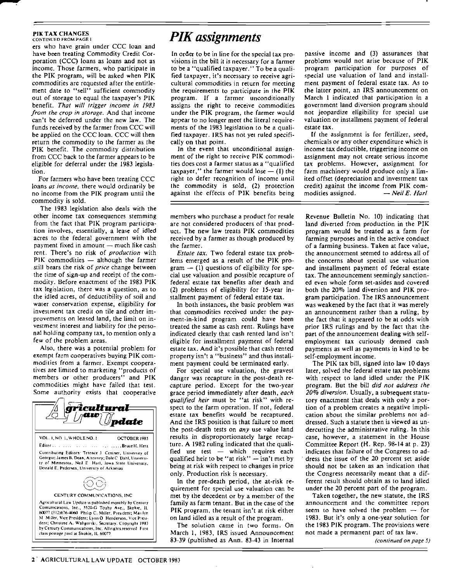## PIK TAX CHANGES<br>CONTINUED FROM PAGE I

ers who have grain under CCC loan and have been treating Commodity Credit Corporation (CCe) loans as loans and not as income. Those farmers, who participate in the PIK program, will be asked when PIK commodities are requested after the entitlement date to "sell" sufficient commodity out of storage to equal the taxpayer's PIK benefit. *That will trigger income in /983 from the crop in storage.* And that income can't be deferred under the new law. The funds received by the farmer from CCC will be applied on the CCC loan. CCC will then return the commodity to the farmer as the PIK benefit. The commodity distribution from CCC back to the farmer appears to be eligible for deferral under the 1983 legislation.

For farmers who have been treating CCC loans *as income,* there would ordinarily be no income from the PIK program until the commodity is sold.

The 1983 legislation also deals with the other income tax consequences stemming from the fact that PIK program parlicipation involves, essentially, a lease of idled acres to the federal government with the payment fixed in amount  $-$  much like cash rent. There's no risk of *production* with PIK commodities  $-$  although the farmer still bears the risk of *price* change between the time of sign-up and receipt of the commodity. Before enactment of the 1983 PIK tax legislation, there was a question, as to the idled acres, of deductibility of soil and water conservation expense, eligibility for investment tax credit on tile and other improvements on leased land, the limit on investment interest and liability for the personal holding company tax, to mention only a few of the problem areas.

Also, there was a potential problem for exempt farm cooperatives buying PIK commodities from a farmer. Exempt cooperatives are limited to marketing "products of members or other producers" and PIK commodities might have failed that test. Some authority exists that cooperative



## *PIK assignments*

In order to be in line for the special tax provisions in the bill it is necessary for a farmer to be a "qualified taxpayer." To be a qualified taxpayer, it's necessary to receive agricultural commodities in return for meeting the requirements to participate in the PIK program. If a farmer unconditionally assigns the right to receive commodities under the PIK program, the farmer would appear to no longer meet the literal requirements of the 1983 legislation to be a qualified taxpayer. IRS has not yet ruled specifically on that point.

In the event that unconditional assignment of the right to receive PlK commodi· ties does cost a farmer status as a "qualified taxpayer," the farmer would lose  $-$  (1) the right to defer recognition of income until the commodity is sold, (2) protection against the effects of PIK benefits being

members who purchase a product for resale are not considered producers of that prod· ucl. The new law treats PIK commodities received by a farmer as though produced by the farmer.

*Estate tax.* Two federal estate tax problems emerged as a result of the PIK pro $gram - (1)$  questions of eligibility for special use valuation and possible recapture of federal estate tax benefits after death and (2) problems of eligibility for 15-year installment payment of federal estate tax.

In both instances, the basic problem was that commodities received under the payment-in-kind program could have been treated the same as cash rem. Rulings have indicated clearly that cash rented land isn't eligible for installment payment of federal estate tax. And it's possible that cash rented property isn't a "business" and thus installment payment could be terminated early.

For special use valuation, the gravest danger was recapture in the post-death recapture period. Except for the two-year grace period immediately after death, *each qualified heir* must be "at risk" with respect to the farm operation. If not, federal estate tax benefits would be recaptured. And the IRS position is that failure to meet the post·death tests on *any* use value land results in disproportionately large recapture. A 1982 ruling indicated that the qualified use test  $-$  which requires each qualified heir to be "at risk"  $-$  isn't met by being at risk with respect to changes in price only. Production risk is necessary.

In the pre-death period, the at-risk requirement for special use valuation can be met by the decedent or by a member of the family as farm tenant. But in the case of the PIK program, the tenant isn't at risk either on land idled as a result of the program.

The solution came in two forms. On March I, 1983, lRS issued Announcement 83-39 (published as Ann. 83-43 in Imernal

passive income and (3) assurances that problems would not arise because of PIK program parricipation for purposes of special use valuation of land and installment payment of federal estate tax. As to the latter point, an IRS announcement on March 1 indicated that participation in a government land diversion program should not jeopardize eligibility for special use valuation or installment payment of federal estate tax.

If the assignment is for fertilizer, seed, chemicals or any other expenditure which is income tax deductible, triggering income on assignment may not create serious income tax problems. However, assignment for farm machinery would produce only a limited offset (depreciation and investment tax credit) against the income from PIK com-<br>modities assigned.  $-$  *Neil E. Harl* modities assigned.

Revenue Bulletin No. 10) indicating that land diverted from production in the PIK program would be treated as a farm for farming purposes and in the active conduct of a farming business. Taken at face value, the announcement seemed to address all of the concerns about special use valuation and installment payment of federal estate tax. The announcement seemingly sanctioned even whole form set-asides and covered both the 20% land diversion and PIK program participation. The IRS announcement was weakened by the fact that it was merely an announcement rather than a ruling, by the fact that it appeared to be at odds with prior IRS rulings and by the fact that the part of the announcement dealing with selfemployment tax curiously deemed cash payments as well as payments in kind to be self-employment income.

The PIK tax bill, signed into law 10 days later, solved the federal estate tax problems with respect to land idled under the PIK program. But the bill *did not address the 20% diversion.* Usual1y, a subsequent stawtory enactment that deals with only a portion of a problem creates a negative impli· cation about the similar problems not addressed. Such a statute then is viewed as un· dercutting the administrative ruling. In this case, however, a statement in the House Committee Report (H. Rep. 98-14 at p. 23) indicates that failure of the Congress to ad . dress the issue of the 20 percent set aside should not be taken as an indication that the Congress necessarily meant that a different result should obtain as to land idled under the 20 percent part of the program.

Taken together, the new statute, the IRS announcement and the committee report seem to have solved the problem  $-$  for 1983. But it's only a one-year solution for the 1983 PIK program. The provisions were not made a permanent parr of tax law.

*(conrinued on page 5)*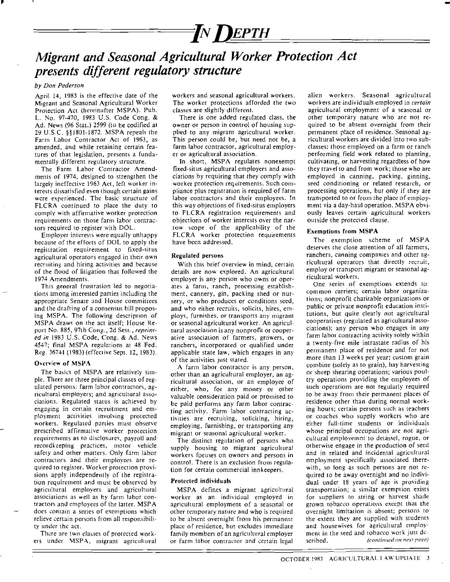

## *Migrant and Seasonal Agricultural Worker Protection Act presents different regulatory structure*

## *by Don Pederson*

,

April 14, 1983 is the effective date of the Migrant and Seasonal Agricultural Worker Protection Act (hereinafter MSPA). Pub. L. No. 97-470, 1983 U.S. Code Cong. & Ad. News (96 Stat.) 2599 (to be codified at 29 U.s.c. §§1801-1872. MSPA repeals the Farm Labor Contractor Act of 1963, as amended. and while retaining certain features of that legislation, presents a fundamenlally different regulatory structure.

The Farm Labor Contractor Amend· ments of 1974, designed to strengthen the largely ineffective 1963 Act, left worker interests dissatisfied even though certain gains were experienced. The basic structure of FLCRA continued to place the duty to comply with affirmative worker protection requirements on those farm labor contractors required to register with DOL.

Employer interests were equally unhappy because of the efforts of DOL to apply the registration requirement to fixed-situs agricultural operarors engaged in their own recruiting and hiring activities and because of the flood of litigation that followed the 1974 Amendments.

This general frustration led to negotiations among interested parties including the appropriate Senate and House committees and (he drafting of a consensus bill proposing MSPA. The following description of MSPA draws on the act itself; House Reed in 1983 U.S. Code, Cong. & Ad. News port No. 885, 97th Cong., 2d Sess., 4547; final MSPA regulations at 48 Fed. Reg. 36741 (1983) (effective Sept. 12,1983).

## Overview of MSPA

The basics of MSPA are relatively simple. There are three principal classes of regulated persons: farm labor contractors, ag· ricultural employers; and agricuhural associations. Regulated status is achieved by engaging in certain recruitment and employment activities involving protected workers. Regulated parties must observe prescribed affirmative worker protection requirements as to disclosures, payroll and recordkceping practices, motor vehicle safety and ocher matters. Only farm labor contractors and their employees are required to register. Worker protection provisions apply independently of the registration requirement and must be observed by agricultural employers and agricultural associations as well as by farm labor contractors and employees of the latter. MSPA does contain a series of exemptions which relieve cenain persons from all responsibility under the act.

There are two classes of protected workers under MSPA, migrant agricultural workers and seasonal agricultural workers. The worker protections afforded the two classes are slightly different.

There is one added regulated class, the owner or person in control of housing supplied to any migrant agricultural worker. This person could be, but need not be, a farm labor contractor, agricultural employer or agricultural association.

In short, MSPA regulates nonexempt fixed-situs agricultural employers and associations by requiring that they comply with worker protection requirements. Such compliance plus registration is required of farm labor contractors and their employees. In this way objections of fixed-situs employers to FLCRA registration requirements and objections of worker interests over the narrow scope of the applicability of the FLCRA worker protection requirements have been addressed.

### Regulated persons

*reprint-*tural association is any nonprofil or cooper-With this brief overview in mind, certain details are now explored. An agricultural employer is any person who owns or operates a farm, ranch, processing establishment, cannery, gin, packing shed or nursery, or who produces or conditions seed, and who either recruits, solicits, hires, employs, furnishes. or transports any migrant or seasonal agricultural worker. An agriculative association of farmers, growers, or ranchers, incorporated or qualified under applicable state law, which engages in any of the activities just stated.

A farm labor contractor is any person, other than an agricultural employer, an ag~ riculturaJ association, or an employee of either, who, for any money or other valuable consideration paid or promised to be paid performs any farm labor contracting activity. Farm labor contracting activities are recruiting, soliciting, hiring, employing, furnishing, or transporting any migrant or seasonal agricultural worker.

The distinct regulation of persons who supply housing to migrant agricultural workers focuses on owners and persons in control. There is an exclusion from regulation for certain commercial innkeepers.

## Protected individuals

MSPA defines a migrant agricultural worker as an individual employed in agricultural employment of a seasonal or other temporary nature and who is required to be absent overnight from his permanent place of residence, but excludes immediate family members of an agricultural employer or farm labor contractor and certain legal

alien workers. Seasonal agricultural workers are individuals employed in *certain* agricultural employment of a seasonal or other temporary nature who are not re~ quired to be absent overnight from their permanent place of residence. Seasonal agricultural workers are divided into two subclasses: those employed on a farm or ranch performing field work related to planting, cultivating, or harvesting regardless of how they travel to and from work; those who are employed in canning, packing, ginning, seed conditioning or related research, or processing operations, but only if they are transported to or from the place of employment via a day~haul operation. MSPA obviously leaves certain agricultural workers outside the protected clause.

### Exemptions from MSPA

The exemption scheme of MSPA deserves the close attention of all farmers, ranchers, canning companies and other agricultural operators that directly recruit, employ or transport migrant or seasonal agricultural workers.

One series of exemptions extends to: common carriers; certain labor organizations; nonprofit charitable organizations or public or private nonprofit education institutions, but quite clearly not agricultural cooperatives (regulated as agricultural asso~ ciations); any person who engages in any farm labor contracting activity solely within a twenty-five mile intrastate radius of his permanent place of residence and for not more than 13 weeks per year; custom grain combine (solely as to grain), hay harvesting or sheep shearing operations; various poultry operations providing (he employees of such operations are not regularly required to be away from their permanent places of residence other than during normal working hours; certain persons such as teachers or coaches who supply workcrs who are either full-time students or individuals whose principal occupations are not agricultural employemnt to detassel, rogue, or otherwise engage in the production of seed and in related and incidental agricultural employment specifically associated therewith, so long as such persons are not required to be away overnight and no individual under 18 years of age is providing transportation; a similar exemption exists for suppliers to string or harvest shade grown tobacco operations exeept that the overnight limitation is absent; persons to the extent they are supplied with students and housewives for agricultural employment in the seed and tobacco work just de $s$ continued on next page)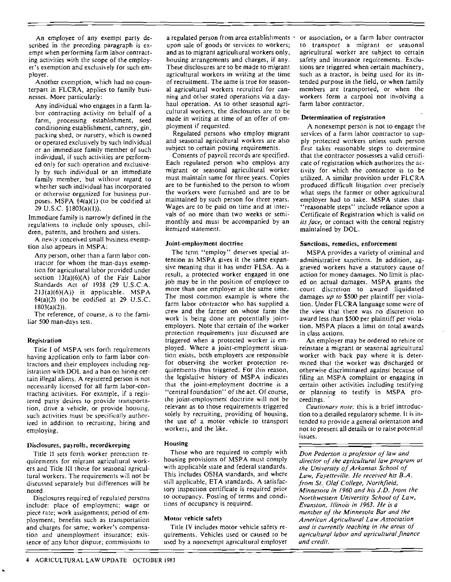An employee 'of any exempt party described in the preceding paragraph is exempt when performing farm labor contracting activities with the scope of the employer's exemption and exclusively for such em· ployer.

Another exemption, which had no counterpart in FLCRA, applies to family businesses. More particularly:

Any individual who engages in a farm labor contracting activity on behalf of a farm, processing establishment, seed conditioning establishment, cannery, gin. packing shed, or nursery, which is owned Or operated exclusively by such individual or an immediate family member of such individual, if such activities are performed only for such operation and exclusively by such individual or an immediate family member, but without regard to whether such individual has incorporated or olherwise organized for business pur~ poses. MSPA §4(a)(I) (to be codified at 29 U.S.C §1803(a)(I)).

Immediate family is narrowly defined in the regulations to include only spouses, children, parents, and brolhers and sisters.

A newly conceived small business exemption also appears in MSPA:

Any person, other than a farm labor contractor for whom the man-days exemption for agricultural labor provided under section  $13(a)(6)(A)$  of the Fair Labor Standards Act of 1938 (29 U.S.CA.  $213(a)(6)(A)$  is applicable. MSPA  $§4(a)(2)$  (to be codified at 29 U.S.C. 1803(a)(2)).

The reference, of course, is to the familiar 500 man-days lest.

## Registration

Title I of MSPA sets forth requirements having application only to farm labor contractors and their employees including registration with DOL and a ban on hiring certain illegal aliens. A registered person is not necessarily licensed for all farm labor-contracting activities. For example, if a registered party desires to provide transportation, drive a vehicle, or provide housing, such activities must be specifically authorized in addition 10 recruiting, hiring and employing.

#### Disclosures, payrolls, recordkeeping

Title 11 sets forth worker protection requirements for migranl agricultural workers and Title III those for seasonal agricultural workers. The requirements will not be discussed separately but differences will be noted.

Disclosures required of regulated persons include: place of employment; wage or piece rate; work assignments; period of employment; benefits such as transportation and charges for same; worker's compensation and unemployment insurance; existence of any labor dispute; commissions to a regulated person from area establishments · upon sale of goods or services to workers; and as to migrant agricultural workers only, housing arrangements and charges, if any. These disclosures are to be made to migrant agricultural workers in writing at the time of recruitment. The same is true for seasonal agricultural workers recruited for canning and other stated operations via a day· haul operation. As to other seasonal agricultural workers, the disclosures are to be made in writing at time of an offer of em· ployment if requested.

Regulated persons who employ migrant and seasonal agricultural workers are also subject to certain posting requirements.

Coments of payroll records are specified. Each regulated person who employs any migrant or seasonal agriculrural worker must maintain same for three years. Copies are to be furnished to the person to whom the workers were furnished and are to be maintained by such person for rhree years. Wages are to be paid on time and at intervals of no more than two weeks or semimonthly and must be accompanied by an itemized statement.

### Joint-employment doctrine

The term "employ" deserves special attenrion as MSPA gives it the same expansive meaning that it has under FLSA. As a result, a protected worker engaged in one job may be in the position of employee to more than one employer at the same time. The most common example is where the farm labor contractor who has supplied a crew and the farmer on whose farm the work is being done are potentially joint· employers. Note that certain of the worker protection requirements jusl discussed are triggered when a protected worker is employed. Where a joint-employment situation exists, both employers are responsible for observing the worker protection requirements thus triggered. For this reason, the legislative history of MSPA indicates that the joint-emp(oymenr doctrine is a "central foundation" of the act. Of course, the joint-employment doctrine will not be relevant as to those requirements triggered solely by recruiting, providing of housing, the use of a motor vehicle to transport workers, and the like.

#### Housing

Those who are required to comply with housing provisions of MSPA must comply with applicable state and federal standards. This includes OSHA standards, and where still applicable, ETA standards. A satisfac-LOry inspection certificate is required prior to occupancy. Posting of terms and conditions of occupancy is required.

### Motor vehicle safety

Title IV includes motor vehicle safety requirements. Vehicles used or caused to be used by a nonexempt agricullural employer or association, or a farm labor contractor to transport a migrant or seasonal agricultural worker are subject to certain safety and insurance requirements. Exclusions are triggered when certain machinery, such as a tractor, is being used for its intended purpose in the field, Or when family members are transported, Or when the workers form a carpool not involving a farm labor contractor.

### Determinalion of registration

A nonexempt person is not to engage the services of a farm labor contractor to supply protected workers unless such person first takes reasonable steps to determine that the contractor possesses a valid cenificate of registration which authorizes the activity for which the COntractor is to be utilized. A similar provision under FLCRA produced difficult litigation over precisely what steps the farmer or other agricultural employer had to take. MSPA states that "reasonable steps" include reliance upon a Certificate of Registrarion which is valid *on its face,* or contact with the central registry maintained by DOL.

### Ssnclions, remedies, enforcemenl

MSPA provides a variety of criminal and administrative sanctions. In addition, aggrieved workers have a statutory cause of action for money damages. No limit is placed on actual damages. MSPA grants the court discretion to award liquidated damages *up to* \$500 per plaintiff per violation. Under FLCRA language some were of the view that there was no discretion to award less chan \$500 per plaintiff per violation. MSPA places a limit on total awards in class acrions.

An employer may be ordered to rehire or reinstate a migrant or seasonal agricultural worker with back pay where it is determined that the worker was discharged or otherwise discriminated against because of filing an MSPA complaint or engaging in certain other activities including testifying or planning (0 testify in MSPA proceedings..

*Caulionary note:* this is a brief introduction to a detailed regulatory scheme. It is intended 10 provide a general orientation and not to present all details or to raise potential issues.

*Don Pederson is professor of law and director of the agricultural law program at the University of Arkansas School of Law, Fayetteville. He received his B.A. from 51. Olaf College. Northfield. Minnesota in 1960 and his J.D. from the Northwestern University School oj Law, Evanston, Illinois in 1963. He is a member of the Minnesota Bar and the American Agricultural Law Association and is currently teaching in the areas of agricultural labor and agricultural finance and credit.*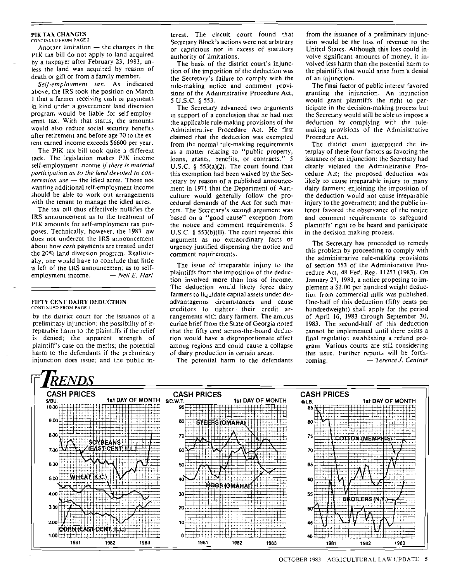#### PIK TAX CHANGES CONTINUED FROM PAGE 2

Another limitation  $-$  the changes in the PIK lax bill do not apply to land acquired by a taxpayer after February 23, 1983, unless the land was acquired by reason of death or gift or from a family member.

*Selj·employment lax.* As indicated above, the lRS took the position on March 1 that a farmer receiving cash or payments in kind under a government land diversion program would be liable for self-employemnt lax. With that status, the amounts would also reduce social security benefits after retirement and before age 70 to the extent earned income exceeds 56600 per year.

The PIK tax bill took quite a different tack. The legislation makes PJK income self-employment income *if (here is material participation as to the land devoted to conservation use* - the idled acres. Those not wanting additional self-employment income should be able to work out arrangements with the tenant to manage the idled acres.

The tax bill thus effectively nullifies the IRS announcement as to the treatment of PIK amounts for self-employment tax purposes. Technically, however, the 1983 law does not undercut the IRS announcement about how *cash* payments are treated under the 20% land diversion program. Realistically, one would have to conclude that little is left of the IRS announcement as to selfemployment income. - *Neil E. Harl* 

#### FIFTY CENT DAIRY DEDUCTION CONTINUED FROM PAGE I

by the district court for the issuance of a preliminary injunction: the possibility of irreparable harm to the plaintiffs if the relief is denied; the apparent strength of plaintiff's case on the merits; the pOlential harm to the defendants if the preliminary injunction does issue; and the public interest. The circuit court found that Secretary Block's actions were not arbitrary or capricious nor in excess of statutory authority of limitations.

The basis of the district court's injunction of the imposition of the deduction was the Secretary's failure to comply with the rule-making notice and comment provisions of the Administrative Procedure Act, 5 U.S.c. § 553.

The Secretary advanced two arguments in support of a conclusion that he had met the applicable rule-making provisions of the Administrative Procedure *Act.* He first claimed that the deduction was exempted from the normal rule-making requirements as a matter relating to "public property. loans, grants, benefits, or contracts." 5 U.S.C. § 553(a)(2). The court found that this exemption had been waived by the Secretary by reason of a published announcement in 1971 that the Department of Agriculture would generally follow the procedural demands of the *Act* for such matters. The Secretary's second argument was based on a "good cause" exception from the notice and comment requirements. 5 U.S.C.  $\S$  553(b)(B). The court rejected this argument as no extraordinary facts or urgency justified dispensing the notice and comment requirements.

The issue of irreparable injury 10 the plaintiffs from the imposition of the deduction involved more than loss of income. The deduction would likely force dairy farmers to liquidate capital assets under disadvantageous circumstances and cause creditors to tighten· their credit arrangements with dairy farmers. The amicus curiae brief from the State of Georgia noted that the fifty cent across-the-board deduction would have a disproportionale effect among regions and could cause a collapse of dairy production in cenain areas.

The potential harm to the defendants

from the issuance of a preliminary injunction would be the loss of revenue to the United States. Although this loss could involve significant amounts of money, it involved less harm than the potential harm to the plaintiffs that would arise from a denial of an injunction.

The final factor of public interest favored granting the injunction. An injunction would grant plaintiffs the right to participate in the decision-making process but the Secretary would still be able to impose a deduction by complying with the rulemaking provisions of the Administrative Procedure *Act.* 

The district court imerpreted the interplay of these four factors as favoring the issuance of an injunction: (he Secretary had clearly violafed the Administrative Procedure Act; the proposed deduction was likely to cause irreparable injury to many dairy farmers; enjoining the imposition of the deduction would not cause irreparable injury to the government; and the public interest favored the observance of the notice and comment requirements to safeguard plaintiffs' right to be heard and participale in the decision-making process.

The Secretary has proceeded to remedy this problem by proceeding to comply with the administrative rule-making provisions of section 553 of the Administrative Procedure Act, 48 Fed. Reg. 11253 (1983). On January 27, J983, a notice proposing to implement a \$1.00 per hundred weight deduction from commercial milk was published. One-half of this deduction (fifty cents per hundredweight) shall apply for the period of April 16, 1983 through September 30. 1983. The second-half of this deduction cannot be implemented until there exists a final regulation establishing a refund program. Various courts are still considering this issue. Further reports will be forthcoming.  $-$  *Terence J. Centner*